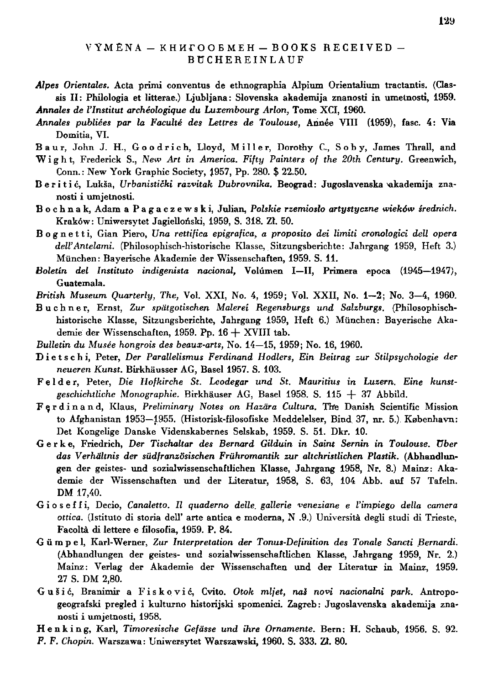## $VYM$ ĒNA  $-$  KH $M$ FOOEMEH  $-$  BOOKS RECEIVED  $-$ **BUCHEREINLAUF**

- Alpes Orientales. Acta primi conventus de ethnographia Alpium Orientalium tractantis. (Classis II: Philologia et litterae.) Ljubljana: Slovenska akademija znanosti in umetnosti, 1959. *Annales de l'Institut archeologique du Luxembourg Arlon,* Tome XCI , 1960.
- Annales publiées par la Faculté des Lettres de Toulouse, Année VIII (1959), fasc. 4: Via Domitia, VI.
- Baur, John J. H., Goodrich, Lloyd, Miller, Dorothy C., Soby, James Thrall, and Wight , Frederick S., *New Art in America. Fifty Painters of the 20th Century.* Greenwich,

Conn.: New York Graphic Society, 1957, Pp. 280. \$ 22.50.

- B e r i t i ć, Lukša, Urbanistički razvitak Dubrovnika. Beograd: Jugoslavenska *vakademija zna*nosti i umjetnosli.
- B o c h n a k, Adam a P a g a c z e w s k i, Julian, Polskie rzemiosło artystyczne wieków średnich. Kraków: Uniwersytet Jagielloński, 1959, S. 318. Zł. 50.
- Bognetti, Gian Piero, Una rettifica epigrafica, a proposito dei limiti cronologici dell opera *dell'Antelami.* (Philosophisch-historische Klasse, Sitzungsberichte: Jahrgang 1959, Heft 3.) München: Bayerische Akademie der Wissenschaften, 1959. S. 11.
- Boletin del Instituto indigenista nacional, Volúmen I-II, Primera epoca (1945-1947), Guatemala.

*British Museum Quarterly, The,* Vol . XXI , No. 4, 1959; Vol . XXII , No. 1-2 ; No. 3-4 , 1960.

- Buchner , Ernst, *Zur spätgotischen Malerei Regensburgs und Salzburgs.* (Philosophischhistorische Klasse, Sitzungsberichte, Jahrgang 1959, Heft 6.) München: Bayerische Akademie der Wissenschaften, 1959. Pp.  $16 + XVIII$  tab.
- *Bulletin du Musee hongrois des beaux-arts,* No . 14—15, 1959; No . 16, 1960.
- Dietschi , Peter, Der *Parallelismus Ferdinand Hodlers, Ein Beitrag zur Stilpsychologie der neueren Kunst.* Birkhäusser AG , Basel 1957. S. 103.
- Felder , Peter, *Die Hofkirche St. Leodegar und St. Mauritius in Luzern. Eine kunst*geschichtliche Monographie. Birkhäuser AG, Basel 1958. S. 115 + 37 Abbild.
- Ferdinand , Klaus, *Preliminary Notes on Hazära Cultura.* The Danish Scientific Mission to Afghanistan 1953–1955. (Historisk-filosofiske Meddelelser, Bind 37, nr. 5.) København: Det Kongelige Danske Videnskabernes Selskab, 1959. S. 51. Dkr. 10.
- G e r k e, Friedrich, *Der Tischaltar des Bernard Gilduin in Saint Sernin in Toulouse, über das Verhältnis der südfranzösischen Frühromantik zur altchristlichen Plastik.* (Abhandlungen der geistes- und sozialwissenschaftlichen Klasse, Jahrgang 1958, Nr. 8.) Mainz : Aka demie der Wissenschaften und der Literatur, 1958, S. 63, 104 Abb. auf 57 Tafeln. DM 17,40.
- Gioseffi, Decio, Canaletto. Il quaderno delle gallerie veneziane e l'impiego della camera ottica. (Istituto di storia dell' arte antica e moderna, N .9.) Università degli studi di Trieste, Facoltä di lettere e filosofia, 1959. P. 84.
- Gümpel , Karl-Werner, Zur *Interpretation der Tonus-Definition des Tonale Sancti Bernardi.*  (Abhandlungen der geistes- und sozialwissenschaftlichen Klasse, Jahrgang 1959, Nr. 2.) Mainz: Verlag der Akademie der Wissenschaften und der Literatur in Mainz, 1959. 27 S. DM 2,80.
- G u £ i *6,* Branimir a Fiskovic , Cvito. *Otok mljet, na\$ novi nacionalni park.* Antropogeografski pregled i kulturno historijski spomenici. Zagreb: Jugoslavenska akademija znanosti i umjetnosti, 1958.

Henking, Karl, Timoresische Gefässe und ihre Ornamente. Bern: H. Schaub, 1956. S. 92. *F. F. Chopin.* Warszawa : Uniwersytet Warszawski, 1960. S. 333. ZI. 80.